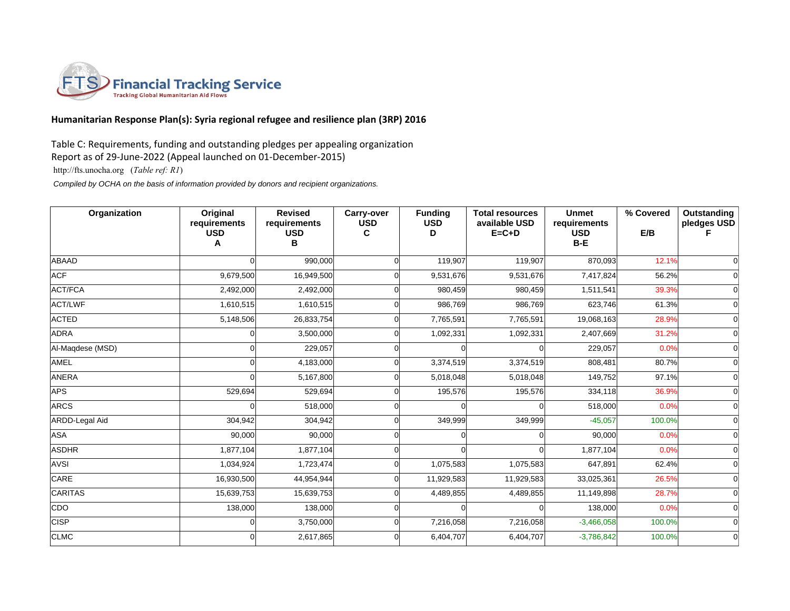

## **Humanitarian Response Plan(s): Syria regional refugee and resilience plan (3RP) 2016**

## Table C: Requirements, funding and outstanding pledges per appealing organization

Report as of 29-June-2022 (Appeal launched on 01-December-2015)

http://fts.unocha.org (*Table ref: R1*)

 *Compiled by OCHA on the basis of information provided by donors and recipient organizations.*

| Organization     | Original<br>requirements<br><b>USD</b><br>Α | <b>Revised</b><br>requirements<br><b>USD</b><br>в | Carry-over<br><b>USD</b><br>C | <b>Funding</b><br><b>USD</b><br>D | <b>Total resources</b><br>available USD<br>$E = C + D$ | <b>Unmet</b><br>requirements<br><b>USD</b><br>$B - E$ | % Covered<br>E/B | Outstanding<br>pledges USD |
|------------------|---------------------------------------------|---------------------------------------------------|-------------------------------|-----------------------------------|--------------------------------------------------------|-------------------------------------------------------|------------------|----------------------------|
| ABAAD            |                                             | 990,000                                           |                               | 119,907                           | 119,907                                                | 870,093                                               | 12.1%            | $\Omega$                   |
| <b>ACF</b>       | 9,679,500                                   | 16,949,500                                        |                               | 9,531,676                         | 9,531,676                                              | 7,417,824                                             | 56.2%            | $\Omega$                   |
| <b>ACT/FCA</b>   | 2,492,000                                   | 2,492,000                                         |                               | 980,459                           | 980,459                                                | 1,511,541                                             | 39.3%            | $\Omega$                   |
| <b>ACT/LWF</b>   | 1,610,515                                   | 1,610,515                                         |                               | 986,769                           | 986,769                                                | 623,746                                               | 61.3%            | $\Omega$                   |
| <b>ACTED</b>     | 5,148,506                                   | 26,833,754                                        |                               | 7,765,591                         | 7,765,591                                              | 19,068,163                                            | 28.9%            | $\Omega$                   |
| <b>ADRA</b>      |                                             | 3,500,000                                         |                               | 1,092,331                         | 1,092,331                                              | 2,407,669                                             | 31.2%            | $\Omega$                   |
| Al-Maqdese (MSD) |                                             | 229,057                                           |                               |                                   |                                                        | 229,057                                               | 0.0%             | $\Omega$                   |
| AMEL             |                                             | 4,183,000                                         |                               | 3,374,519                         | 3,374,519                                              | 808,481                                               | 80.7%            | $\overline{0}$             |
| <b>ANERA</b>     | U                                           | 5,167,800                                         |                               | 5,018,048                         | 5,018,048                                              | 149,752                                               | 97.1%            | $\Omega$                   |
| APS              | 529,694                                     | 529,694                                           |                               | 195,576                           | 195,576                                                | 334,118                                               | 36.9%            | $\Omega$                   |
| <b>ARCS</b>      |                                             | 518,000                                           |                               |                                   |                                                        | 518,000                                               | 0.0%             | $\Omega$                   |
| ARDD-Legal Aid   | 304,942                                     | 304,942                                           |                               | 349,999                           | 349,999                                                | $-45,057$                                             | 100.0%           | $\Omega$                   |
| ASA              | 90,000                                      | 90,000                                            |                               |                                   |                                                        | 90,000                                                | 0.0%             | $\Omega$                   |
| <b>ASDHR</b>     | 1,877,104                                   | 1,877,104                                         |                               |                                   |                                                        | 1,877,104                                             | 0.0%             | $\Omega$                   |
| AVSI             | 1,034,924                                   | 1,723,474                                         |                               | 1,075,583                         | 1,075,583                                              | 647,891                                               | 62.4%            | $\Omega$                   |
| CARE             | 16,930,500                                  | 44,954,944                                        |                               | 11,929,583                        | 11,929,583                                             | 33,025,361                                            | 26.5%            | $\Omega$                   |
| CARITAS          | 15,639,753                                  | 15,639,753                                        |                               | 4,489,855                         | 4,489,855                                              | 11,149,898                                            | 28.7%            | $\Omega$                   |
| CDO              | 138,000                                     | 138,000                                           |                               |                                   |                                                        | 138,000                                               | 0.0%             | $\Omega$                   |
| <b>CISP</b>      | U                                           | 3,750,000                                         |                               | 7,216,058                         | 7,216,058                                              | $-3,466,058$                                          | 100.0%           | $\Omega$                   |
| <b>CLMC</b>      |                                             | 2,617,865                                         |                               | 6,404,707                         | 6,404,707                                              | $-3,786,842$                                          | 100.0%           | $\Omega$                   |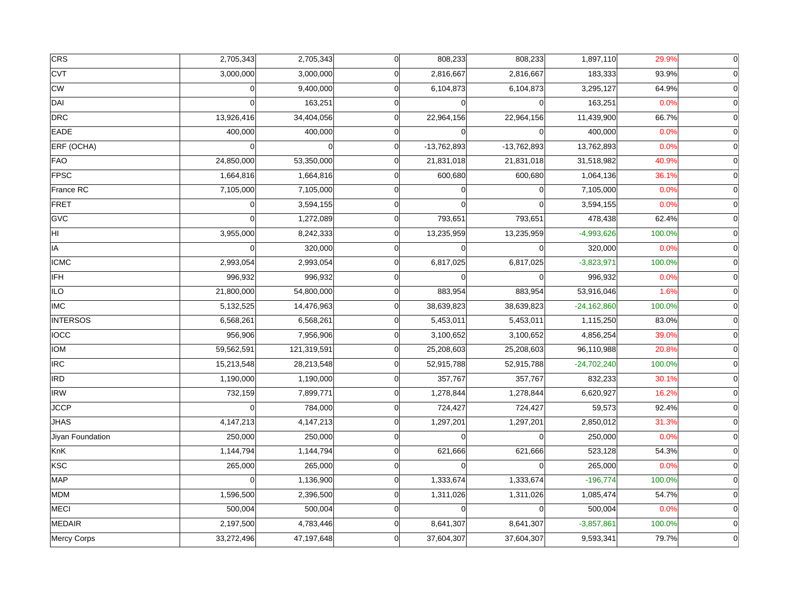| <b>CRS</b>       | 2,705,343  | 2,705,343   | $\overline{0}$ | 808,233       | 808,233       | 1,897,110     | 29.9%  | $\overline{0}$ |
|------------------|------------|-------------|----------------|---------------|---------------|---------------|--------|----------------|
| <b>CVT</b>       | 3,000,000  | 3,000,000   | $\sqrt{ }$     | 2,816,667     | 2,816,667     | 183,333       | 93.9%  | $\overline{0}$ |
| cw               | $\Omega$   | 9,400,000   | $\Omega$       | 6,104,873     | 6,104,873     | 3,295,127     | 64.9%  | $\overline{0}$ |
| DAI              | $\Omega$   | 163,251     | $\Omega$       |               |               | 163,251       | 0.0%   | $\overline{0}$ |
| DRC              | 13,926,416 | 34,404,056  | $\Omega$       | 22,964,156    | 22,964,156    | 11,439,900    | 66.7%  | $\Omega$       |
| <b>EADE</b>      | 400,000    | 400,000     | $\Omega$       |               |               | 400,000       | 0.0%   |                |
| ERF (OCHA)       | $\Omega$   | $\Omega$    | $\Omega$       | $-13,762,893$ | $-13,762,893$ | 13,762,893    | 0.0%   | $\overline{0}$ |
| FAO              | 24,850,000 | 53,350,000  | $\Omega$       | 21,831,018    | 21,831,018    | 31,518,982    | 40.9%  | $\overline{0}$ |
| <b>FPSC</b>      | 1,664,816  | 1,664,816   | $\Omega$       | 600,680       | 600,680       | 1,064,136     | 36.1%  | $\Omega$       |
| France RC        | 7,105,000  | 7,105,000   | $\Omega$       |               |               | 7,105,000     | 0.0%   | $\overline{0}$ |
| FRET             | 0          | 3,594,155   | $\Omega$       |               |               | 3,594,155     | 0.0%   | $\overline{0}$ |
| GVC              | $\Omega$   | 1,272,089   | $\mathbf 0$    | 793,651       | 793,651       | 478,438       | 62.4%  | $\Omega$       |
| HI.              | 3,955,000  | 8,242,333   | $\Omega$       | 13,235,959    | 13,235,959    | $-4,993,626$  | 100.0% | $\Omega$       |
| IA               | $\Omega$   | 320,000     | $\Omega$       |               |               | 320,000       | 0.0%   | $\Omega$       |
| <b>ICMC</b>      | 2,993,054  | 2,993,054   | $\Omega$       | 6,817,025     | 6,817,025     | $-3,823,971$  | 100.0% | $\Omega$       |
| IFH              | 996,932    | 996,932     | $\Omega$       |               |               | 996,932       | 0.0%   |                |
| ∣ILO             | 21,800,000 | 54,800,000  | $\mathbf 0$    | 883,954       | 883,954       | 53,916,046    | 1.6%   | $\Omega$       |
| <b>IMC</b>       | 5,132,525  | 14,476,963  | $\Omega$       | 38,639,823    | 38,639,823    | $-24,162,860$ | 100.0% | $\Omega$       |
| <b>INTERSOS</b>  | 6,568,261  | 6,568,261   | $\Omega$       | 5,453,011     | 5,453,011     | 1,115,250     | 83.0%  | $\Omega$       |
| locc             | 956,906    | 7,956,906   | $\Omega$       | 3,100,652     | 3,100,652     | 4,856,254     | 39.0%  | $\overline{0}$ |
| <b>IOM</b>       | 59,562,591 | 121,319,591 | $\Omega$       | 25,208,603    | 25,208,603    | 96,110,988    | 20.8%  | $\overline{0}$ |
| <b>IRC</b>       | 15,213,548 | 28,213,548  | $\Omega$       | 52,915,788    | 52,915,788    | $-24,702,240$ | 100.0% | $\Omega$       |
| <b>IRD</b>       | 1,190,000  | 1,190,000   | $\Omega$       | 357,767       | 357,767       | 832,233       | 30.1%  | $\overline{0}$ |
| <b>IRW</b>       | 732,159    | 7,899,771   | $\Omega$       | 1,278,844     | 1,278,844     | 6,620,927     | 16.2%  | $\overline{0}$ |
| JCCP             | ΩI         | 784,000     | $\Omega$       | 724,427       | 724,427       | 59,573        | 92.4%  | $\Omega$       |
| <b>JHAS</b>      | 4,147,213  | 4,147,213   | $\Omega$       | 1,297,201     | 1,297,201     | 2,850,012     | 31.3%  |                |
| Jiyan Foundation | 250,000    | 250,000     | $\mathbf 0$    |               |               | 250,000       | 0.0%   |                |
| KnK              | 1,144,794  | 1,144,794   | $\Omega$       | 621,666       | 621,666       | 523,128       | 54.3%  | $\overline{0}$ |
| KSC              | 265,000    | 265,000     | $\Omega$       |               | $\Omega$      | 265,000       | 0.0%   | $\Omega$       |
| MAP              | $\Omega$   | 1,136,900   | $\Omega$       | 1,333,674     | 1,333,674     | $-196,774$    | 100.0% | $\Omega$       |
| MDM              | 1,596,500  | 2,396,500   | $\Omega$       | 1,311,026     | 1,311,026     | 1,085,474     | 54.7%  | $\Omega$       |
| MECI             | 500,004    | 500,004     | $\Omega$       |               |               | 500,004       | 0.0%   | $\overline{0}$ |
| MEDAIR           | 2,197,500  | 4,783,446   | $\Omega$       | 8,641,307     | 8,641,307     | $-3,857,861$  | 100.0% | $\Omega$       |
| Mercy Corps      | 33,272,496 | 47,197,648  | $\Omega$       | 37,604,307    | 37,604,307    | 9,593,341     | 79.7%  | $\overline{0}$ |
|                  |            |             |                |               |               |               |        |                |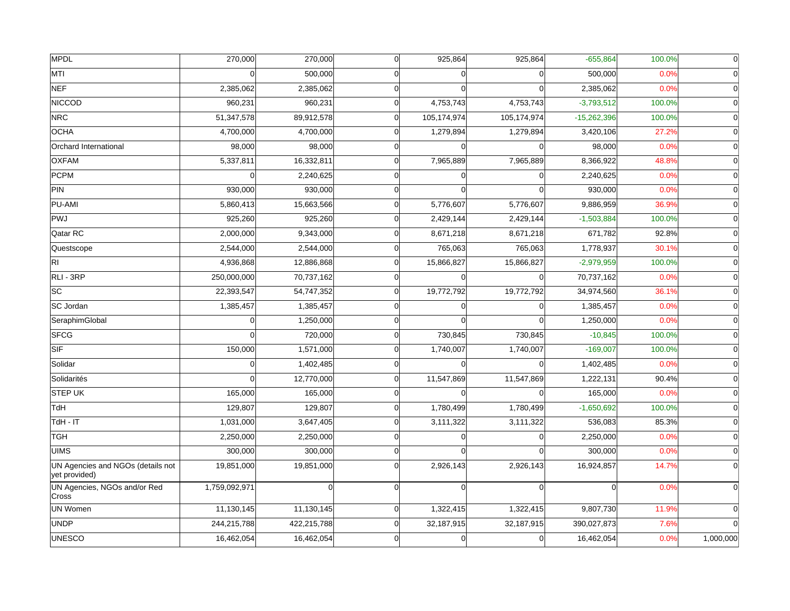| MPDL                                               | 270,000       | 270,000     | <sub>0</sub> | 925,864     | 925,864     | $-655,864$    | 100.0% | $\overline{0}$ |
|----------------------------------------------------|---------------|-------------|--------------|-------------|-------------|---------------|--------|----------------|
| MTI                                                |               | 500,000     | $\Omega$     |             |             | 500,000       | 0.0%   | $\Omega$       |
| <b>NEF</b>                                         | 2,385,062     | 2,385,062   | $\Omega$     |             |             | 2,385,062     | 0.0%   | $\Omega$       |
| <b>NICCOD</b>                                      | 960,231       | 960,231     | $\Omega$     | 4,753,743   | 4,753,743   | $-3,793,512$  | 100.0% | $\Omega$       |
| <b>NRC</b>                                         | 51,347,578    | 89,912,578  | $\Omega$     | 105,174,974 | 105,174,974 | $-15,262,396$ | 100.0% | $\overline{0}$ |
| <b>OCHA</b>                                        | 4,700,000     | 4,700,000   | $\Omega$     | 1,279,894   | 1,279,894   | 3,420,106     | 27.2%  | $\Omega$       |
| Orchard International                              | 98,000        | 98,000      | $\Omega$     |             |             | 98,000        | 0.0%   | $\Omega$       |
| <b>OXFAM</b>                                       | 5,337,811     | 16,332,811  | $\Omega$     | 7,965,889   | 7,965,889   | 8,366,922     | 48.8%  | $\Omega$       |
| PCPM                                               | O             | 2,240,625   | $\Omega$     |             |             | 2,240,625     | 0.0%   | $\overline{0}$ |
| PIN                                                | 930,000       | 930,000     | $\Omega$     |             |             | 930,000       | 0.0%   | $\Omega$       |
| PU-AMI                                             | 5,860,413     | 15,663,566  | $\Omega$     | 5,776,607   | 5,776,607   | 9,886,959     | 36.9%  | $\Omega$       |
| PWJ                                                | 925,260       | 925,260     | $\mathbf 0$  | 2,429,144   | 2,429,144   | $-1,503,884$  | 100.0% | $\Omega$       |
| Qatar RC                                           | 2,000,000     | 9,343,000   | $\Omega$     | 8,671,218   | 8,671,218   | 671,782       | 92.8%  | $\Omega$       |
| Questscope                                         | 2,544,000     | 2,544,000   | $\Omega$     | 765,063     | 765,063     | 1,778,937     | 30.1%  | $\Omega$       |
| $\overline{RI}$                                    | 4,936,868     | 12,886,868  | $\Omega$     | 15,866,827  | 15,866,827  | $-2,979,959$  | 100.0% | $\Omega$       |
| RLI - 3RP                                          | 250,000,000   | 70,737,162  | $\Omega$     |             |             | 70,737,162    | 0.0%   | $\Omega$       |
| $\overline{sc}$                                    | 22,393,547    | 54,747,352  | $\Omega$     | 19,772,792  | 19,772,792  | 34,974,560    | 36.1%  | $\Omega$       |
| SC Jordan                                          | 1,385,457     | 1,385,457   | $\Omega$     | ∩           |             | 1,385,457     | 0.0%   | $\Omega$       |
| SeraphimGlobal                                     | $\Omega$      | 1,250,000   | $\Omega$     |             |             | 1,250,000     | 0.0%   | $\Omega$       |
| <b>SFCG</b>                                        | $\Omega$      | 720,000     | $\Omega$     | 730,845     | 730,845     | $-10,845$     | 100.0% | $\overline{0}$ |
| SIF                                                | 150,000       | 1,571,000   | $\Omega$     | 1,740,007   | 1,740,007   | $-169,007$    | 100.0% | $\Omega$       |
| Solidar                                            | $\Omega$      | 1,402,485   | $\Omega$     |             |             | 1,402,485     | 0.0%   | $\Omega$       |
| Solidarités                                        |               | 12,770,000  | $\Omega$     | 11,547,869  | 11,547,869  | 1,222,131     | 90.4%  | $\overline{0}$ |
| STEP UK                                            | 165,000       | 165,000     | $\Omega$     |             |             | 165,000       | 0.0%   | $\overline{0}$ |
| <b>TdH</b>                                         | 129,807       | 129,807     | $\Omega$     | 1,780,499   | 1,780,499   | $-1,650,692$  | 100.0% | $\Omega$       |
| $TdH - IT$                                         | 1,031,000     | 3,647,405   | $\Omega$     | 3,111,322   | 3,111,322   | 536,083       | 85.3%  | $\Omega$       |
| ∣тGн                                               | 2,250,000     | 2,250,000   | $\mathbf 0$  |             |             | 2,250,000     | 0.0%   | $\Omega$       |
| <b>UIMS</b>                                        | 300,000       | 300,000     | $\Omega$     |             |             | 300,000       | 0.0%   | $\Omega$       |
| UN Agencies and NGOs (details not<br>yet provided) | 19,851,000    | 19,851,000  | $\Omega$     | 2,926,143   | 2,926,143   | 16,924,857    | 14.7%  | $\Omega$       |
| UN Agencies, NGOs and/or Red<br>Cross              | 1,759,092,971 | $\Omega$    | $\Omega$     | $\Omega$    |             | $\Omega$      | 0.0%   |                |
| <b>UN Women</b>                                    | 11,130,145    | 11,130,145  | $\mathbf 0$  | 1,322,415   | 1,322,415   | 9,807,730     | 11.9%  |                |
| <b>UNDP</b>                                        | 244,215,788   | 422,215,788 | $\Omega$     | 32,187,915  | 32,187,915  | 390,027,873   | 7.6%   |                |
| <b>UNESCO</b>                                      | 16,462,054    | 16,462,054  | $\Omega$     |             |             | 16,462,054    | 0.0%   | 1,000,000      |